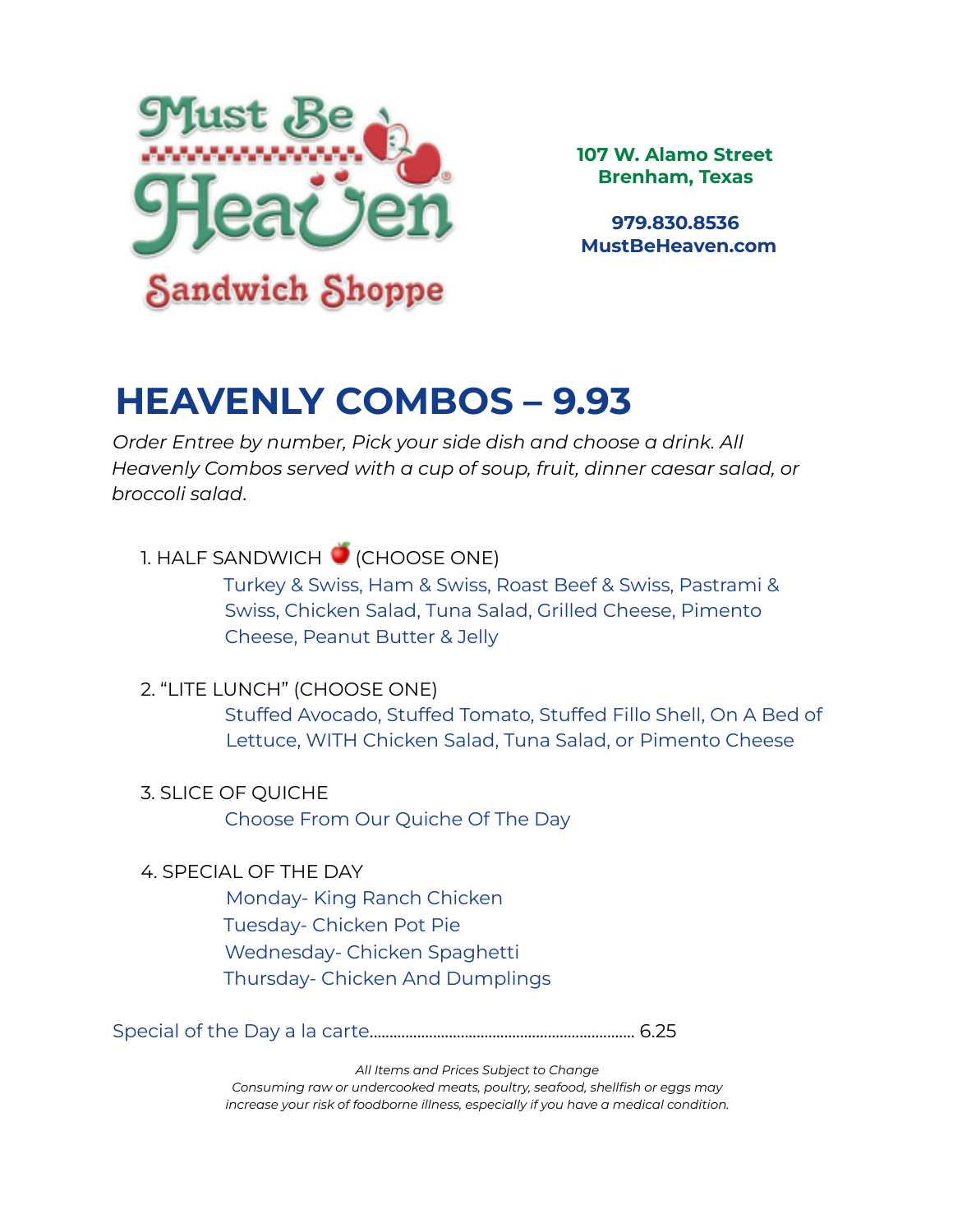

**107 W. Alamo Street Brenham, Texas**

**979.830.8536 MustBeHeaven.com**

### **HEAVENLY COMBOS – 9.93**

*Order Entree by number, Pick your side dish and choose a drink. All Heavenly Combos served with a cup of soup, fruit, dinner caesar salad, or broccoli salad*.

### 1. HALF SANDWICH (CHOOSE ONE)

Turkey & Swiss, Ham & Swiss, Roast Beef & Swiss, Pastrami & Swiss, Chicken Salad, Tuna Salad, Grilled Cheese, Pimento Cheese, Peanut Butter & Jelly

### 2. "LITE LUNCH" (CHOOSE ONE)

Stuffed Avocado, Stuffed Tomato, Stuffed Fillo Shell, On A Bed of Lettuce, WITH Chicken Salad, Tuna Salad, or Pimento Cheese

### 3. SLICE OF QUICHE

Choose From Our Quiche Of The Day

### 4. SPECIAL OF THE DAY

Monday- King Ranch Chicken Tuesday- Chicken Pot Pie Wednesday- Chicken Spaghetti Thursday- Chicken And Dumplings

Special of the Day a la carte................................................................... 6.25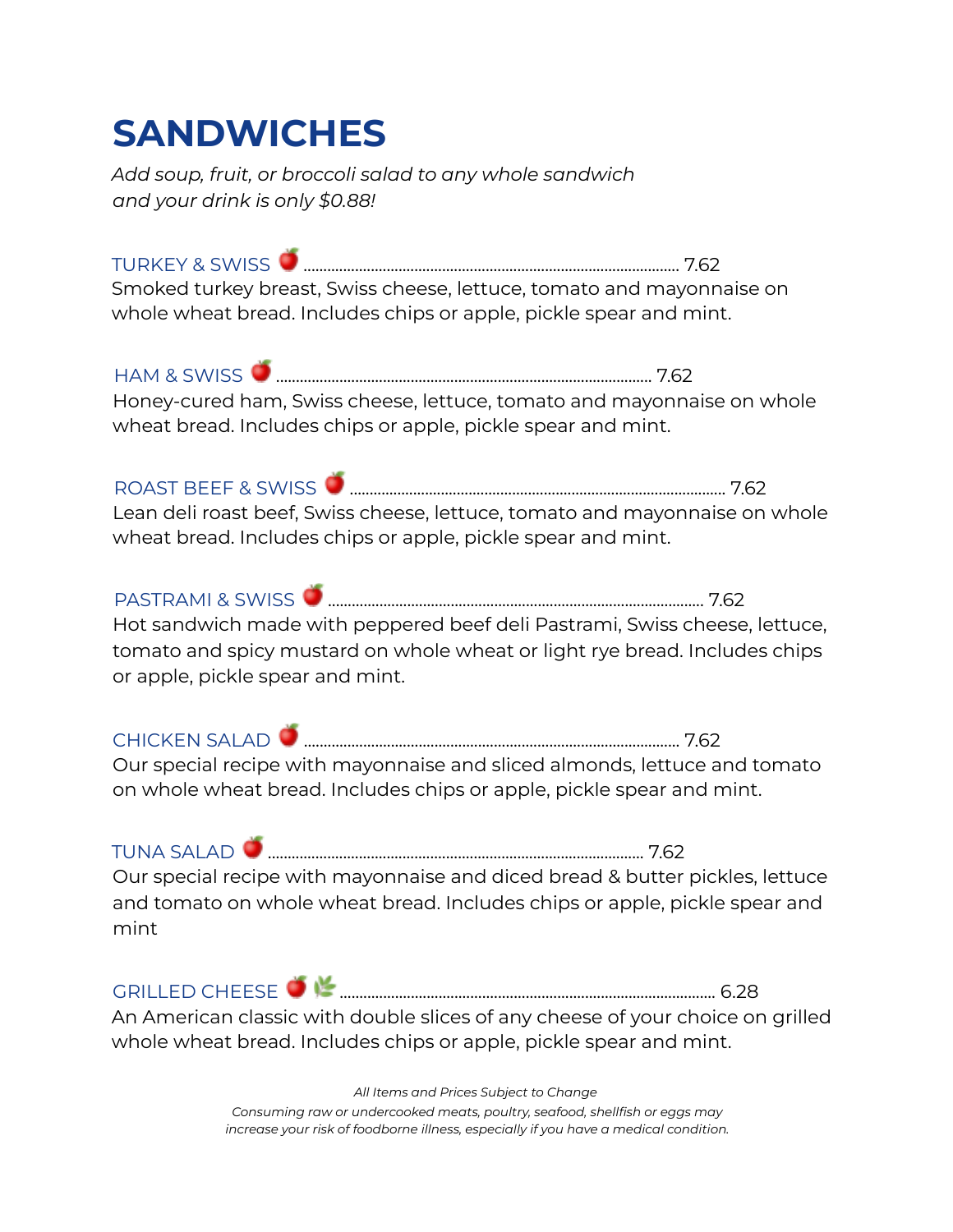### **SANDWICHES**

*Add soup, fruit, or broccoli salad to any whole sandwich and your drink is only \$0.88!*

TURKEY & SWISS ............................................................................................... 7.62 Smoked turkey breast, Swiss cheese, lettuce, tomato and mayonnaise on whole wheat bread. Includes chips or apple, pickle spear and mint.

HAM & SWISS ............................................................................................... 7.62 Honey-cured ham, Swiss cheese, lettuce, tomato and mayonnaise on whole wheat bread. Includes chips or apple, pickle spear and mint.

ROAST BEEF & SWISS ............................................................................................... 7.62 Lean deli roast beef, Swiss cheese, lettuce, tomato and mayonnaise on whole wheat bread. Includes chips or apple, pickle spear and mint.

PASTRAMI & SWISS ............................................................................................... 7.62 Hot sandwich made with peppered beef deli Pastrami, Swiss cheese, lettuce,

tomato and spicy mustard on whole wheat or light rye bread. Includes chips or apple, pickle spear and mint.

CHICKEN SALAD ............................................................................................... 7.62 Our special recipe with mayonnaise and sliced almonds, lettuce and tomato on whole wheat bread. Includes chips or apple, pickle spear and mint.

TUNA SALAD ............................................................................................... 7.62

Our special recipe with mayonnaise and diced bread & butter pickles, lettuce and tomato on whole wheat bread. Includes chips or apple, pickle spear and mint

| $\cap$<br>$\Gamma$ |  | ت ۔د |
|--------------------|--|------|
|--------------------|--|------|

An American classic with double slices of any cheese of your choice on grilled whole wheat bread. Includes chips or apple, pickle spear and mint.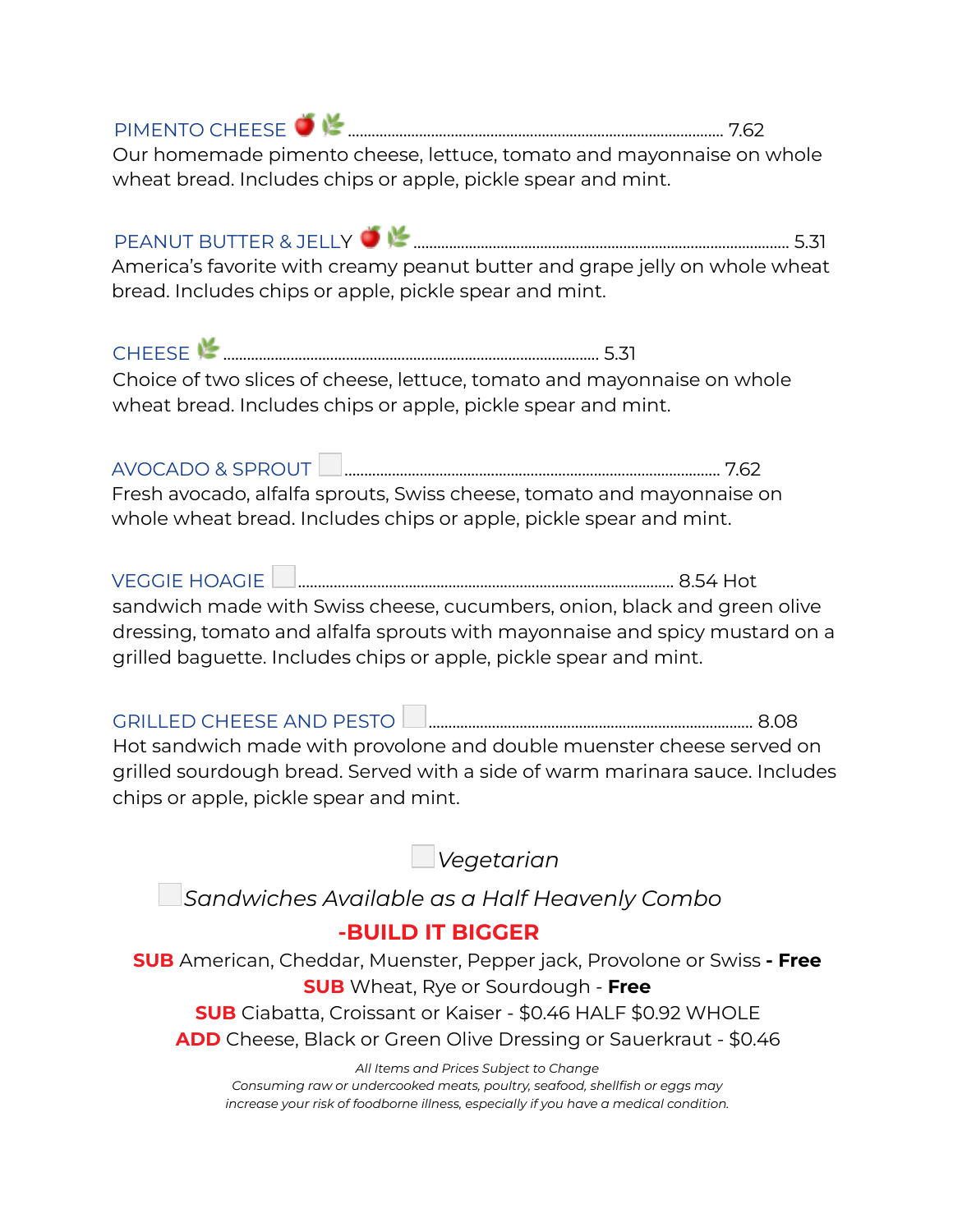| Our homemade pimento cheese, lettuce, tomato and mayonnaise on whole |  |
|----------------------------------------------------------------------|--|

wheat bread. Includes chips or apple, pickle spear and mint.

PEANUT BUTTER & JELLY ............................................................................................... 5.31 America's favorite with creamy peanut butter and grape jelly on whole wheat bread. Includes chips or apple, pickle spear and mint.

CHEESE ............................................................................................... 5.31 Choice of two slices of cheese, lettuce, tomato and mayonnaise on whole wheat bread. Includes chips or apple, pickle spear and mint.

AVOCADO & SPROUT ............................................................................................... 7.62 Fresh avocado, alfalfa sprouts, Swiss cheese, tomato and mayonnaise on whole wheat bread. Includes chips or apple, pickle spear and mint.

VEGGIE HOAGIE ............................................................................................... 8.54 Hot sandwich made with Swiss cheese, cucumbers, onion, black and green olive dressing, tomato and alfalfa sprouts with mayonnaise and spicy mustard on a grilled baguette. Includes chips or apple, pickle spear and mint.

GRILLED CHEESE AND PESTO .................................................................................. 8.08 Hot sandwich made with provolone and double muenster cheese served on grilled sourdough bread. Served with a side of warm marinara sauce. Includes chips or apple, pickle spear and mint.

*Vegetarian*

*Sandwiches Available as a Half Heavenly Combo*

### **-BUILD IT BIGGER**

**SUB** American, Cheddar, Muenster, Pepper jack, Provolone or Swiss **- Free SUB** Wheat, Rye or Sourdough - **Free SUB** Ciabatta, Croissant or Kaiser - \$0.46 HALF \$0.92 WHOLE **ADD** Cheese, Black or Green Olive Dressing or Sauerkraut - \$0.46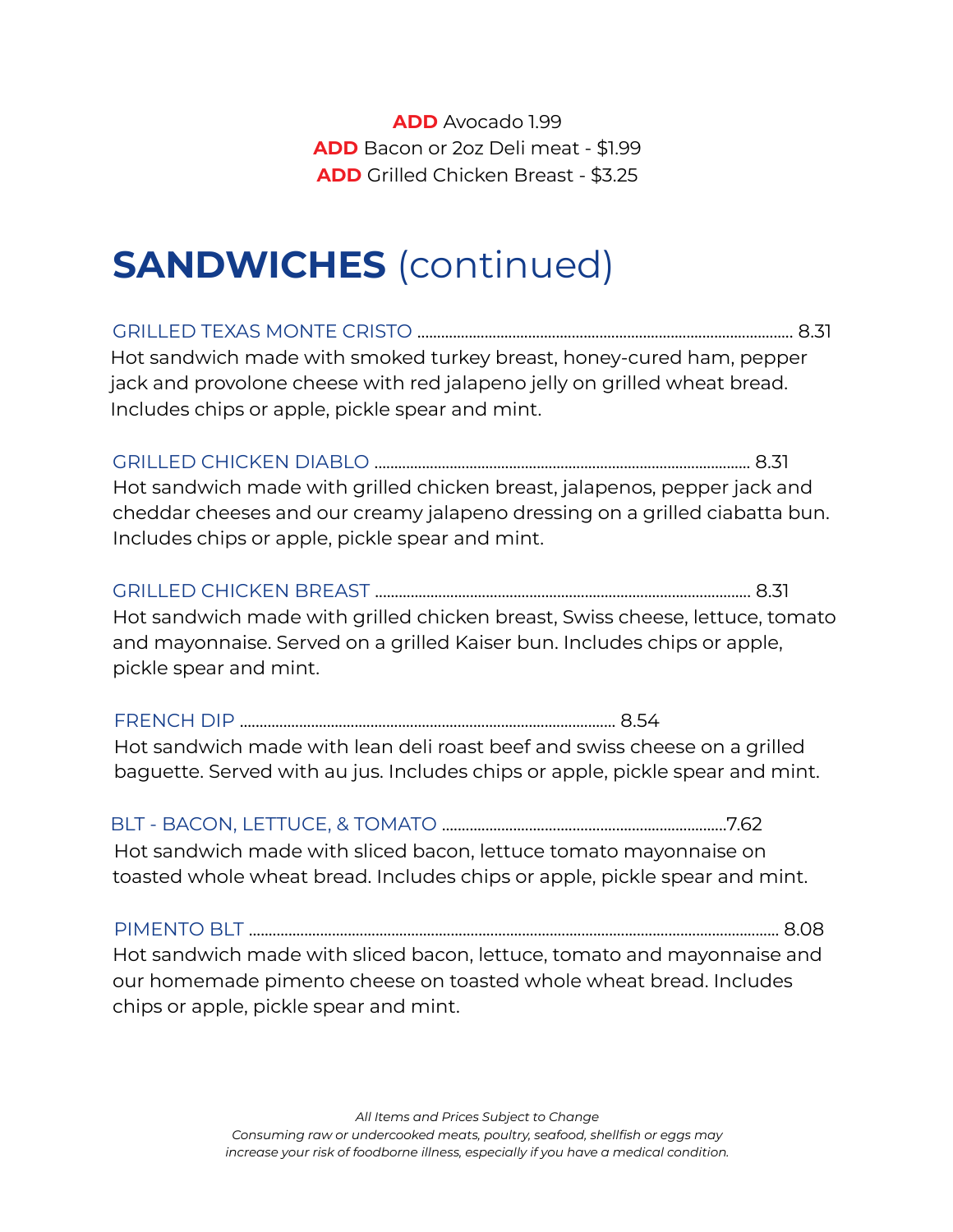**ADD** Avocado 1.99 **ADD** Bacon or 2oz Deli meat - \$1.99 **ADD** Grilled Chicken Breast - \$3.25

### **SANDWICHES** (continued)

GRILLED TEXAS MONTE CRISTO ............................................................................................... 8.31 Hot sandwich made with smoked turkey breast, honey-cured ham, pepper jack and provolone cheese with red jalapeno jelly on grilled wheat bread. Includes chips or apple, pickle spear and mint.

GRILLED CHICKEN DIABLO ............................................................................................... 8.31 Hot sandwich made with grilled chicken breast, jalapenos, pepper jack and cheddar cheeses and our creamy jalapeno dressing on a grilled ciabatta bun. Includes chips or apple, pickle spear and mint.

GRILLED CHICKEN BREAST ............................................................................................... 8.31 Hot sandwich made with grilled chicken breast, Swiss cheese, lettuce, tomato and mayonnaise. Served on a grilled Kaiser bun. Includes chips or apple, pickle spear and mint.

FRENCH DIP ............................................................................................... 8.54 Hot sandwich made with lean deli roast beef and swiss cheese on a grilled baguette. Served with au jus. Includes chips or apple, pickle spear and mint.

BLT - BACON, LETTUCE, & TOMATO ........................................................................7.62 Hot sandwich made with sliced bacon, lettuce tomato mayonnaise on toasted whole wheat bread. Includes chips or apple, pickle spear and mint.

PIMENTO BLT ...................................................................................................................................... 8.08 Hot sandwich made with sliced bacon, lettuce, tomato and mayonnaise and our homemade pimento cheese on toasted whole wheat bread. Includes chips or apple, pickle spear and mint.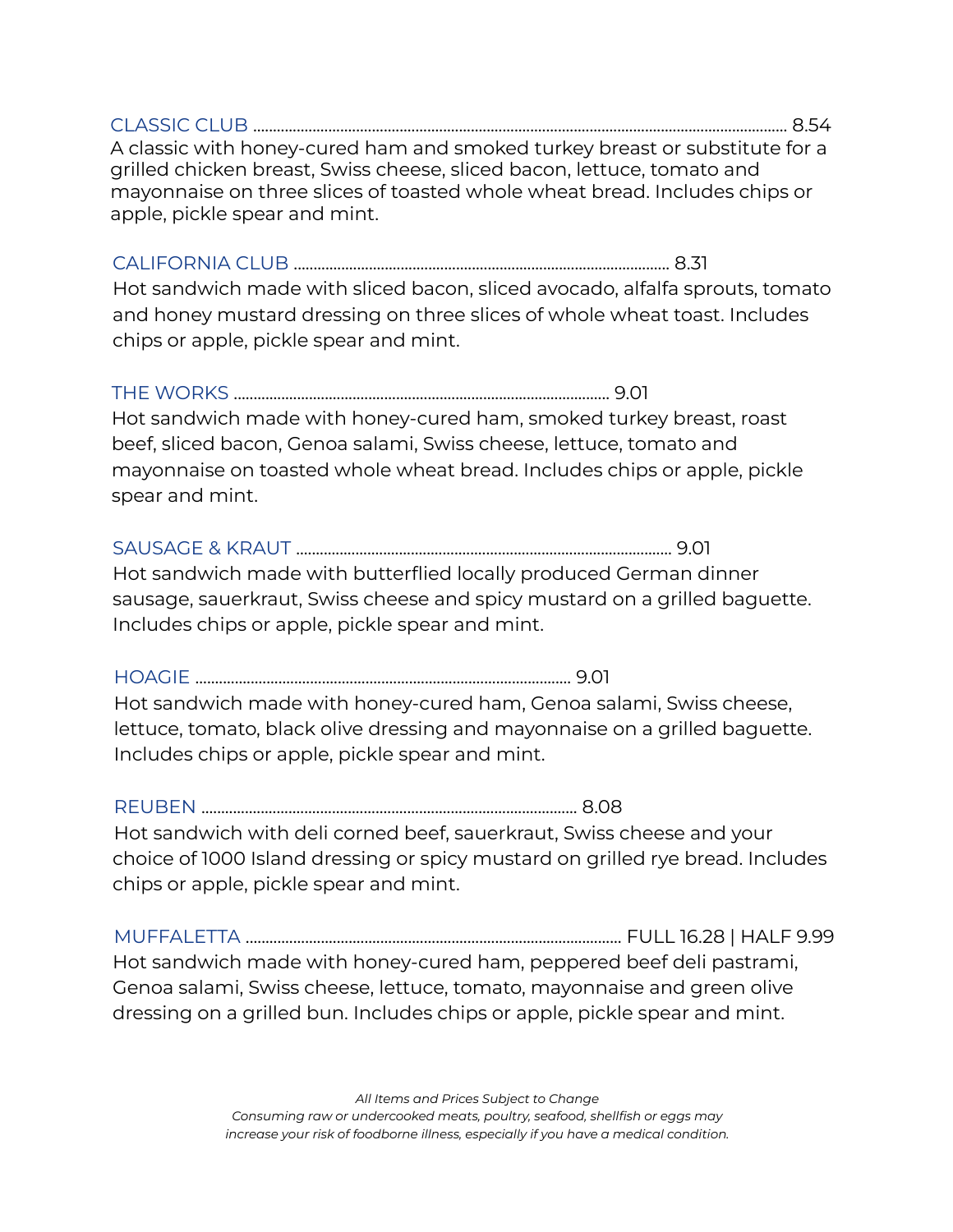CLASSIC CLUB ....................................................................................................................................... 8.54 A classic with honey-cured ham and smoked turkey breast or substitute for a grilled chicken breast, Swiss cheese, sliced bacon, lettuce, tomato and mayonnaise on three slices of toasted whole wheat bread. Includes chips or apple, pickle spear and mint.

### CALIFORNIA CLUB ............................................................................................... 8.31

Hot sandwich made with sliced bacon, sliced avocado, alfalfa sprouts, tomato and honey mustard dressing on three slices of whole wheat toast. Includes chips or apple, pickle spear and mint.

### THE WORKS ............................................................................................... 9.01

Hot sandwich made with honey-cured ham, smoked turkey breast, roast beef, sliced bacon, Genoa salami, Swiss cheese, lettuce, tomato and mayonnaise on toasted whole wheat bread. Includes chips or apple, pickle spear and mint.

### SAUSAGE & KRAUT ............................................................................................... 9.01

Hot sandwich made with butterflied locally produced German dinner sausage, sauerkraut, Swiss cheese and spicy mustard on a grilled baguette. Includes chips or apple, pickle spear and mint.

### HOAGIE ............................................................................................... 9.01

Hot sandwich made with honey-cured ham, Genoa salami, Swiss cheese, lettuce, tomato, black olive dressing and mayonnaise on a grilled baguette. Includes chips or apple, pickle spear and mint.

#### REUBEN ............................................................................................... 8.08

Hot sandwich with deli corned beef, sauerkraut, Swiss cheese and your choice of 1000 Island dressing or spicy mustard on grilled rye bread. Includes chips or apple, pickle spear and mint.

MUFFALETTA ............................................................................................... FULL 16.28 | HALF 9.99 Hot sandwich made with honey-cured ham, peppered beef deli pastrami, Genoa salami, Swiss cheese, lettuce, tomato, mayonnaise and green olive dressing on a grilled bun. Includes chips or apple, pickle spear and mint.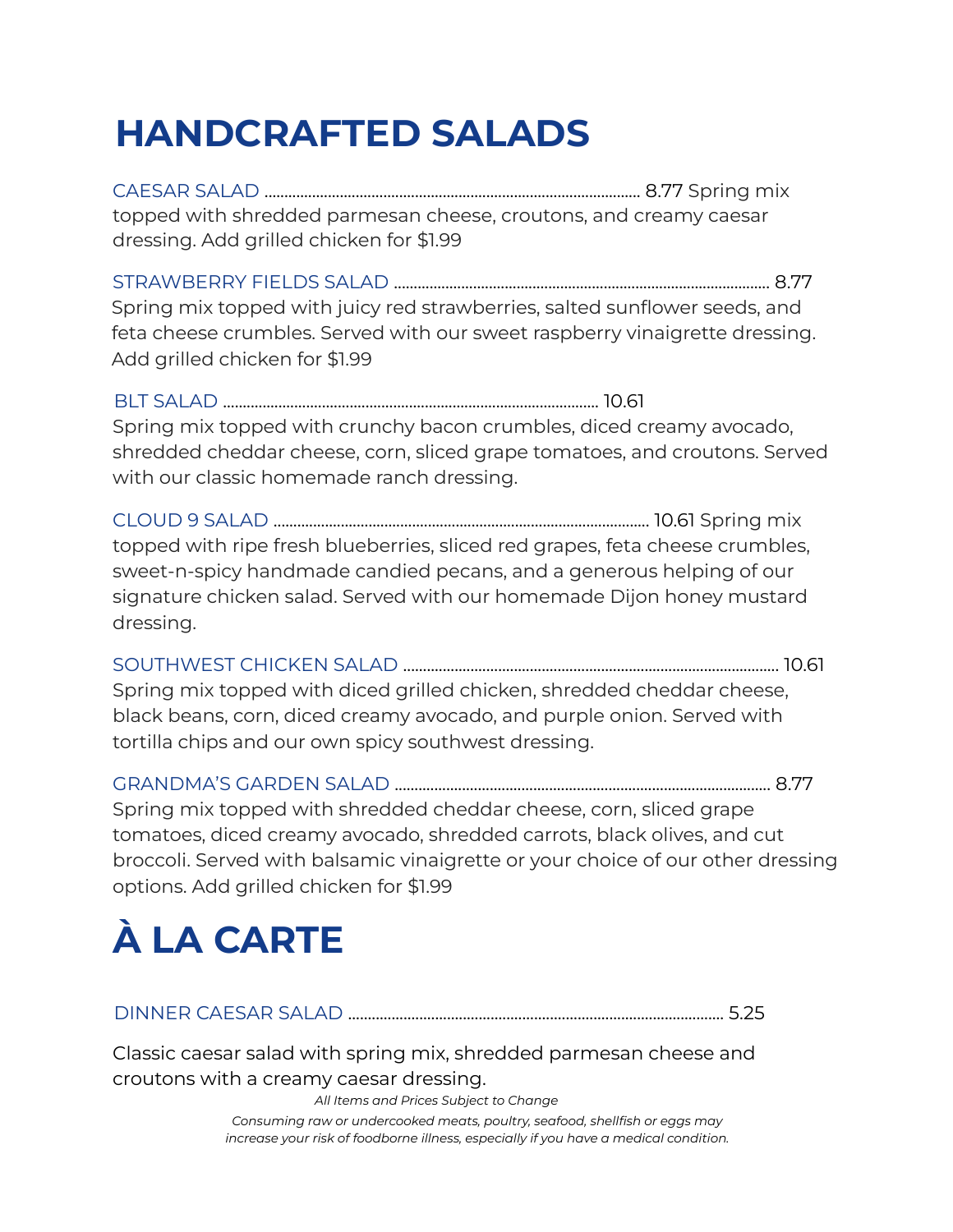# **HANDCRAFTED SALADS**

CAESAR SALAD ............................................................................................... 8.77 Spring mix topped with shredded parmesan cheese, croutons, and creamy caesar dressing. Add grilled chicken for \$1.99

STRAWBERRY FIELDS SALAD ............................................................................................... 8.77 Spring mix topped with juicy red strawberries, salted sunflower seeds, and feta cheese crumbles. Served with our sweet raspberry vinaigrette dressing. Add grilled chicken for \$1.99

BLT SALAD ............................................................................................... 10.61 Spring mix topped with crunchy bacon crumbles, diced creamy avocado, shredded cheddar cheese, corn, sliced grape tomatoes, and croutons. Served with our classic homemade ranch dressing.

CLOUD 9 SALAD ............................................................................................... 10.61 Spring mix topped with ripe fresh blueberries, sliced red grapes, feta cheese crumbles, sweet-n-spicy handmade candied pecans, and a generous helping of our signature chicken salad. Served with our homemade Dijon honey mustard dressing.

SOUTHWEST CHICKEN SALAD ............................................................................................... 10.61 Spring mix topped with diced grilled chicken, shredded cheddar cheese, black beans, corn, diced creamy avocado, and purple onion. Served with tortilla chips and our own spicy southwest dressing.

GRANDMA'S GARDEN SALAD ............................................................................................... 8.77 Spring mix topped with shredded cheddar cheese, corn, sliced grape tomatoes, diced creamy avocado, shredded carrots, black olives, and cut broccoli. Served with balsamic vinaigrette or your choice of our other dressing options. Add grilled chicken for \$1.99

# **À LA CARTE**

DINNER CAESAR SALAD ............................................................................................... 5.25

Classic caesar salad with spring mix, shredded parmesan cheese and croutons with a creamy caesar dressing.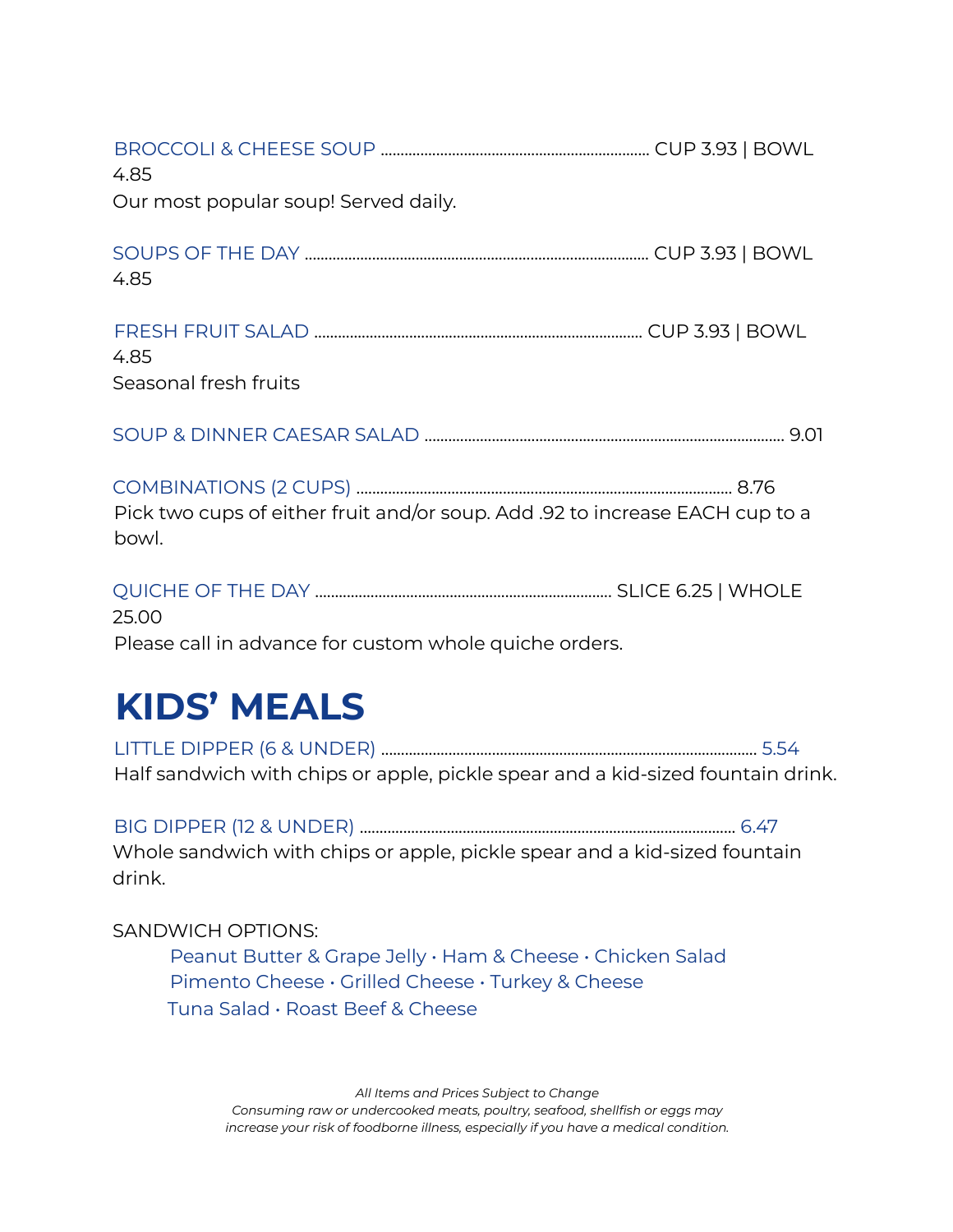| 4.85                                                                                  |  |
|---------------------------------------------------------------------------------------|--|
| Our most popular soup! Served daily.                                                  |  |
| 4.85                                                                                  |  |
| 4.85<br>Seasonal fresh fruits                                                         |  |
|                                                                                       |  |
| Pick two cups of either fruit and/or soup. Add .92 to increase EACH cup to a<br>bowl. |  |
|                                                                                       |  |

25.00 Please call in advance for custom whole quiche orders.

### **KIDS' MEALS**

LITTLE DIPPER (6 & UNDER) ............................................................................................... 5.54 Half sandwich with chips or apple, pickle spear and a kid-sized fountain drink.

BIG DIPPER (12 & UNDER) ............................................................................................... 6.47 Whole sandwich with chips or apple, pickle spear and a kid-sized fountain drink.

### SANDWICH OPTIONS:

Peanut Butter & Grape Jelly • Ham & Cheese • Chicken Salad Pimento Cheese • Grilled Cheese • Turkey & Cheese Tuna Salad • Roast Beef & Cheese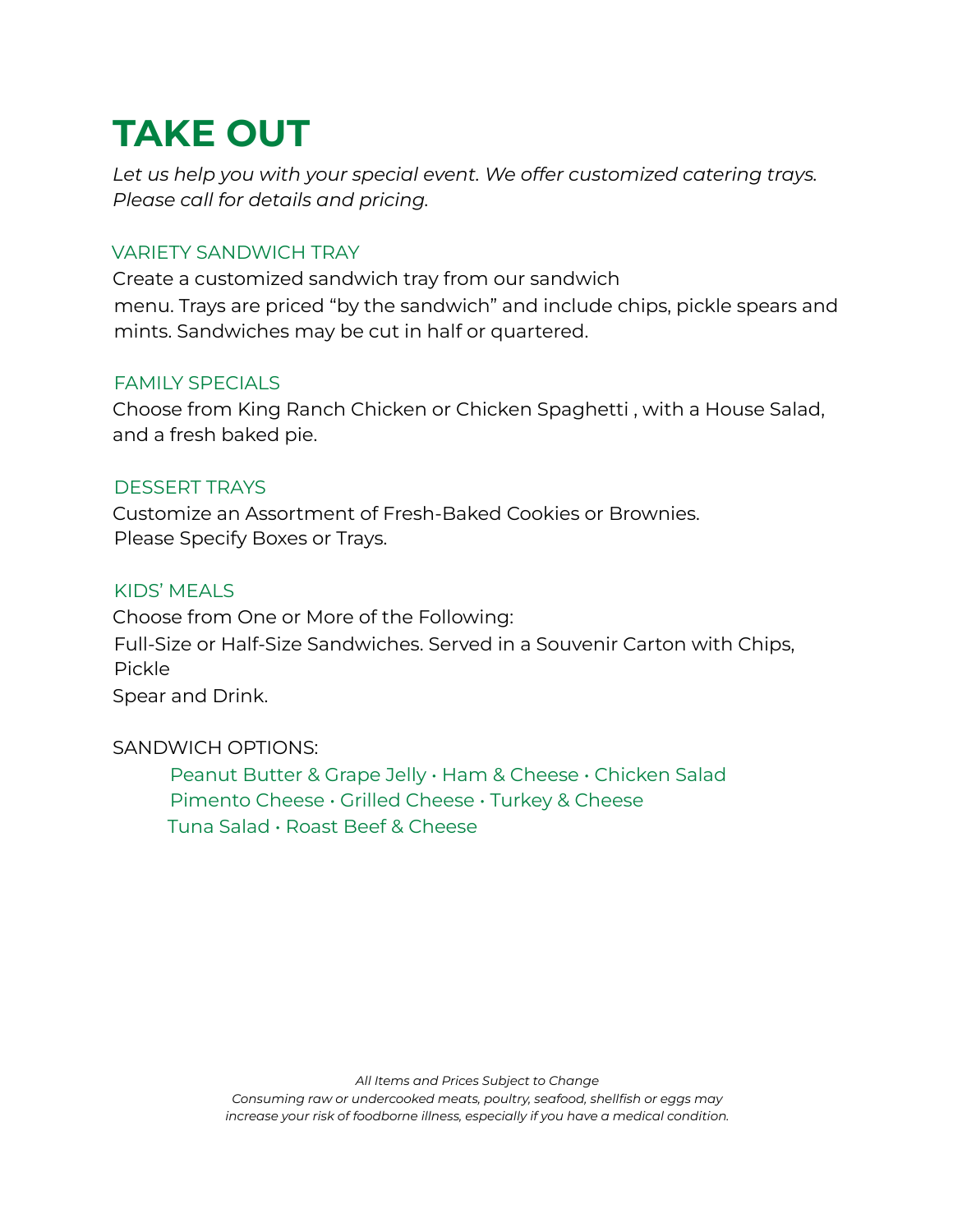## **TAKE OUT**

*Let us help you with your special event. We offer customized catering trays. Please call for details and pricing.*

### VARIETY SANDWICH TRAY

Create a customized sandwich tray from our sandwich menu. Trays are priced "by the sandwich" and include chips, pickle spears and mints. Sandwiches may be cut in half or quartered.

### FAMILY SPECIALS

Choose from King Ranch Chicken or Chicken Spaghetti , with a House Salad, and a fresh baked pie.

### DESSERT TRAYS

Customize an Assortment of Fresh-Baked Cookies or Brownies. Please Specify Boxes or Trays.

### KIDS' MEALS

Choose from One or More of the Following: Full-Size or Half-Size Sandwiches. Served in a Souvenir Carton with Chips, Pickle Spear and Drink.

### SANDWICH OPTIONS:

Peanut Butter & Grape Jelly • Ham & Cheese • Chicken Salad Pimento Cheese • Grilled Cheese • Turkey & Cheese Tuna Salad • Roast Beef & Cheese

*Consuming raw or undercooked meats, poultry, seafood, shellfish or eggs may increase your risk of foodborne illness, especially if you have a medical condition.*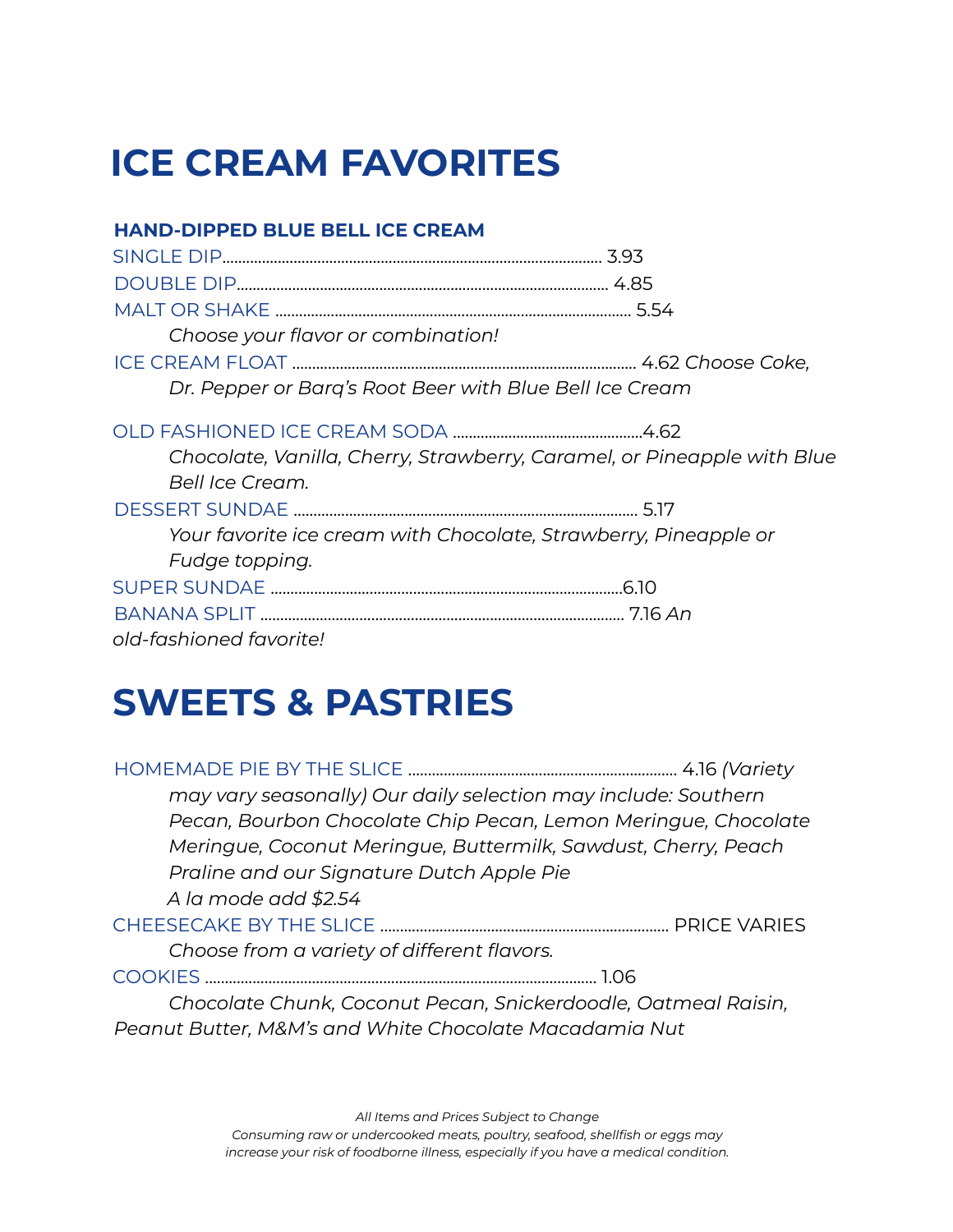## **ICE CREAM FAVORITES**

### **HAND-DIPPED BLUE BELL ICE CREAM**

| Choose your flavor or combination! |                                                                         |
|------------------------------------|-------------------------------------------------------------------------|
|                                    |                                                                         |
|                                    | Dr. Pepper or Barg's Root Beer with Blue Bell Ice Cream                 |
|                                    |                                                                         |
|                                    | Chocolate, Vanilla, Cherry, Strawberry, Caramel, or Pineapple with Blue |
| Bell Ice Cream.                    |                                                                         |
|                                    |                                                                         |
|                                    | Your favorite ice cream with Chocolate, Strawberry, Pineapple or        |
| Fudge topping.                     |                                                                         |
|                                    |                                                                         |
|                                    |                                                                         |
| old-fashioned favorite!            |                                                                         |

### **SWEETS & PASTRIES**

| may vary seasonally) Our daily selection may include: Southern |  |  |  |  |
|----------------------------------------------------------------|--|--|--|--|
| Pecan, Bourbon Chocolate Chip Pecan, Lemon Meringue, Chocolate |  |  |  |  |
| Meringue, Coconut Meringue, Buttermilk, Sawdust, Cherry, Peach |  |  |  |  |
| Praline and our Signature Dutch Apple Pie                      |  |  |  |  |
| A la mode add \$2.54                                           |  |  |  |  |
|                                                                |  |  |  |  |
|                                                                |  |  |  |  |
| Choose from a variety of different flavors.                    |  |  |  |  |
|                                                                |  |  |  |  |
| Chocolate Chunk, Coconut Pecan, Snickerdoodle, Oatmeal Raisin, |  |  |  |  |
| Peanut Butter, M&M's and White Chocolate Macadamia Nut         |  |  |  |  |